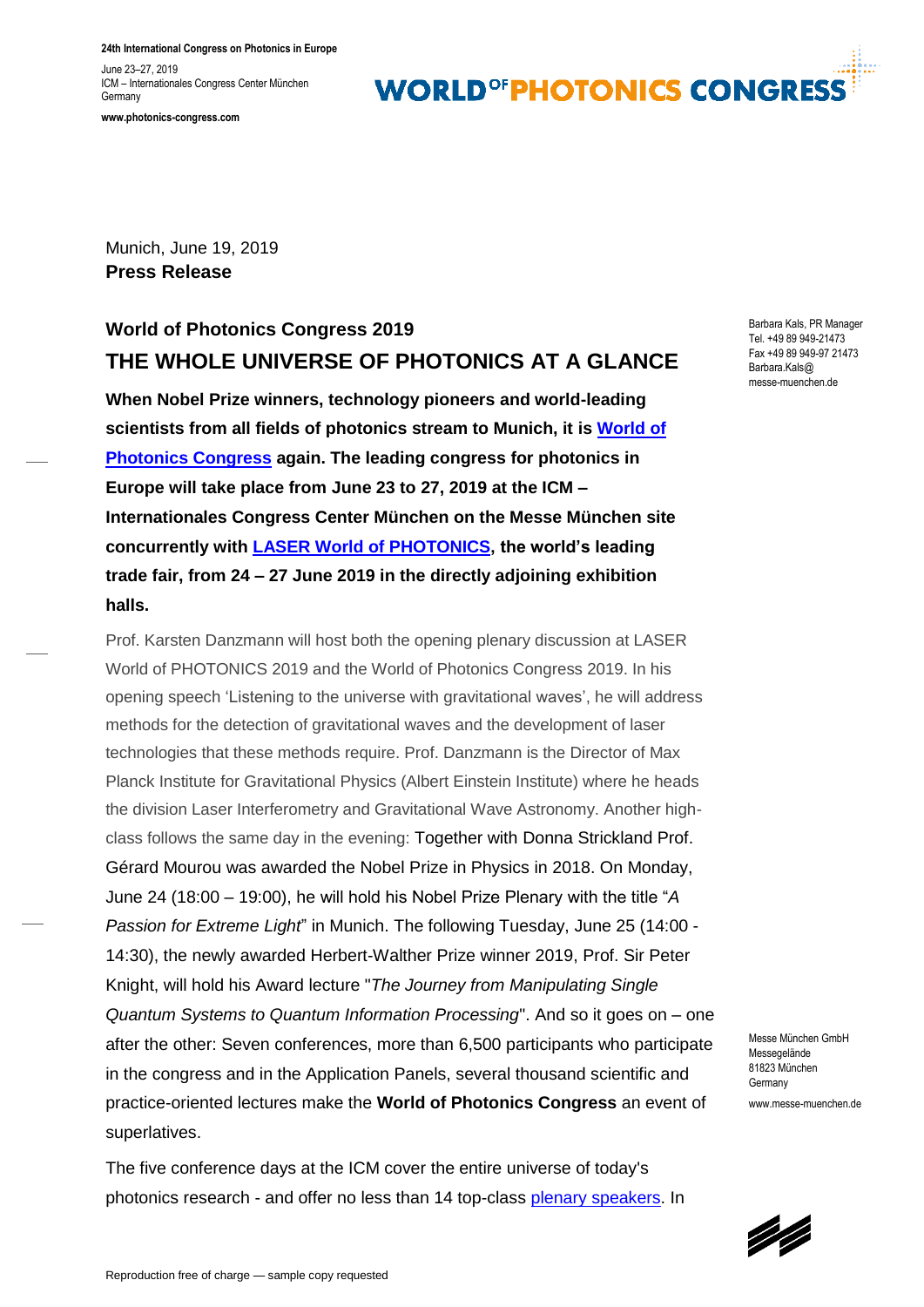**24th International Congress on Photonics in Europe**

June 23–27, 2019 ICM – Internationales Congress Center München **Germany** 

**www.photonics-congress.com**

### **WORLD<sup>OF</sup>PHOTONICS CONGRES**

Munich, June 19, 2019 **Press Release**

### **World of Photonics Congress 2019 THE WHOLE UNIVERSE OF PHOTONICS AT A GLANCE**

**When Nobel Prize winners, technology pioneers and world-leading scientists from all fields of photonics stream to Munich, it is [World of](http://www.photonics-congress.com/)  [Photonics Congress](http://www.photonics-congress.com/) again. The leading congress for photonics in Europe will take place from June 23 to 27, 2019 at the ICM – Internationales Congress Center München on the Messe München site concurrently with [LASER World of PHOTONICS,](http://www.world-of-photonics.com/index-2.html) the world's leading trade fair, from 24 – 27 June 2019 in the directly adjoining exhibition halls.** 

Prof. Karsten Danzmann will host both the opening plenary discussion at LASER World of PHOTONICS 2019 and the World of Photonics Congress 2019. In his opening speech 'Listening to the universe with gravitational waves', he will address methods for the detection of gravitational waves and the development of laser technologies that these methods require. Prof. Danzmann is the Director of Max Planck Institute for Gravitational Physics (Albert Einstein Institute) where he heads the division Laser Interferometry and Gravitational Wave Astronomy. Another highclass follows the same day in the evening: Together with Donna Strickland Prof. Gérard Mourou was awarded the Nobel Prize in Physics in 2018. On Monday, June 24 (18:00 – 19:00), he will hold his Nobel Prize Plenary with the title "*A Passion for Extreme Light*" in Munich. The following Tuesday, June 25 (14:00 - 14:30), the newly awarded Herbert-Walther Prize winner 2019, Prof. Sir Peter Knight, will hold his Award lecture "*The Journey from Manipulating Single Quantum Systems to Quantum Information Processing*". And so it goes on – one after the other: Seven conferences, more than 6,500 participants who participate in the congress and in the Application Panels, several thousand scientific and practice-oriented lectures make the **World of Photonics Congress** an event of superlatives.

The five conference days at the ICM cover the entire universe of today's photonics research - and offer no less than 14 top-class [plenary speakers.](https://www.photonics-congress.com/about/conferences/plenary-speakers/index.html) In Barbara Kals, PR Manager Tel. +49 89 949-21473 Fax +49 89 949-97 21473 Barbara.Kals@ messe-muenchen.de

Messe München GmbH Messegelände 81823 München **Germany** www.messe-muenchen.de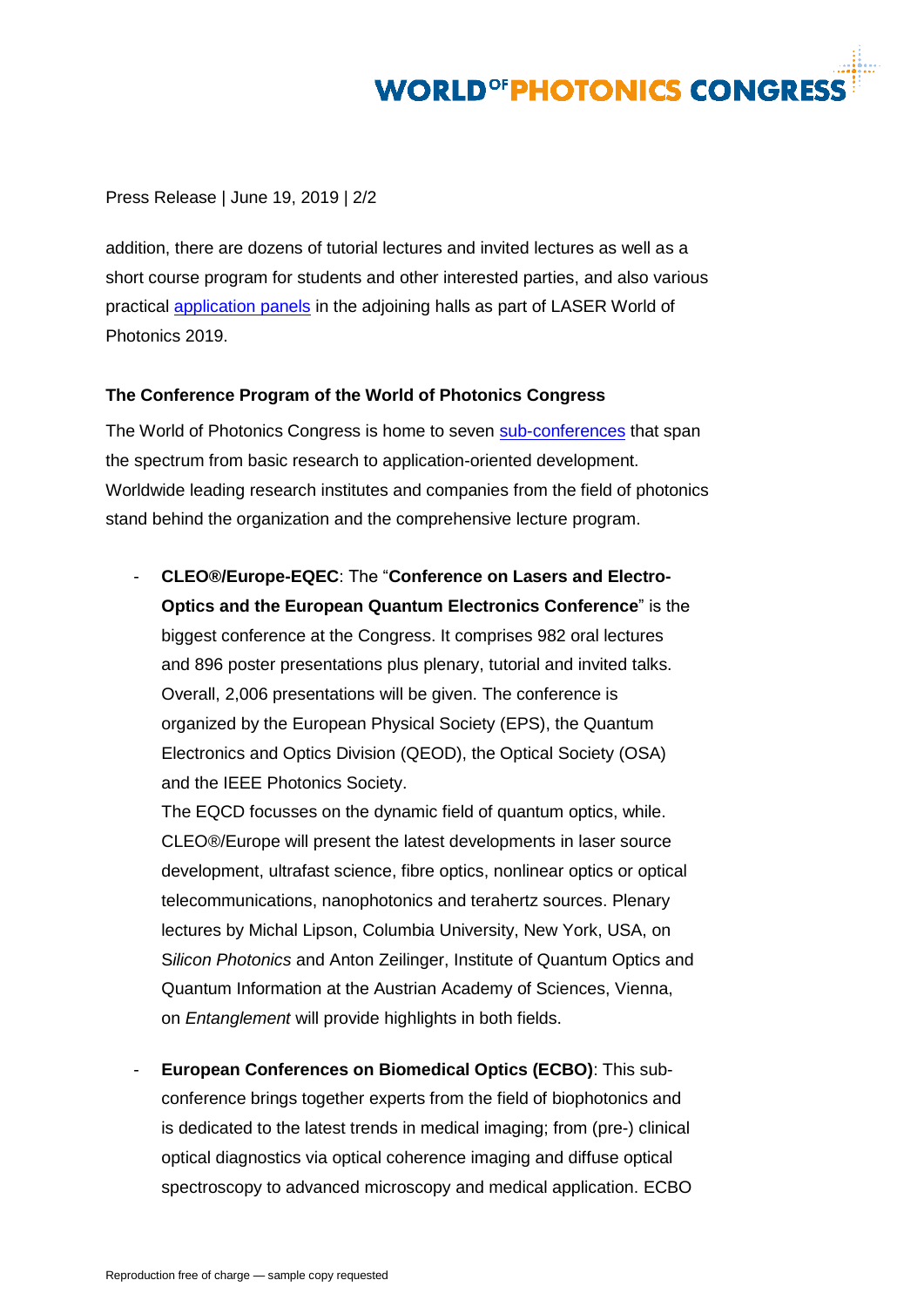# **WORLD<sup>OF</sup>PHOTONICS CONGRESS**

Press Release | June 19, 2019 | 2/2

addition, there are dozens of tutorial lectures and invited lectures as well as a short course program for students and other interested parties, and also various practical [application panels](https://world-of-photonics.com/visitors/supporting-program/application-panels/index.html) in the adjoining halls as part of LASER World of Photonics 2019.

### **The Conference Program of the World of Photonics Congress**

The World of Photonics Congress is home to seven [sub-conferences](https://www.photonics-congress.com/about/conferences/index.html) that span the spectrum from basic research to application-oriented development. Worldwide leading research institutes and companies from the field of photonics stand behind the organization and the comprehensive lecture program.

- **CLEO®/Europe-EQEC**: The "**Conference on Lasers and Electro-Optics and the European Quantum Electronics Conference**" is the biggest conference at the Congress. It comprises 982 oral lectures and 896 poster presentations plus plenary, tutorial and invited talks. Overall, 2,006 presentations will be given. The conference is organized by the European Physical Society (EPS), the Quantum Electronics and Optics Division (QEOD), the Optical Society (OSA) and the IEEE Photonics Society.

The EQCD focusses on the dynamic field of quantum optics, while. CLEO®/Europe will present the latest developments in laser source development, ultrafast science, fibre optics, nonlinear optics or optical telecommunications, nanophotonics and terahertz sources. Plenary lectures by Michal Lipson, Columbia University, New York, USA, on S*ilicon Photonics* and Anton Zeilinger, Institute of Quantum Optics and Quantum Information at the Austrian Academy of Sciences, Vienna, on *Entanglement* will provide highlights in both fields.

- **European Conferences on Biomedical Optics (ECBO)**: This subconference brings together experts from the field of biophotonics and is dedicated to the latest trends in medical imaging; from (pre-) clinical optical diagnostics via optical coherence imaging and diffuse optical spectroscopy to advanced microscopy and medical application. ECBO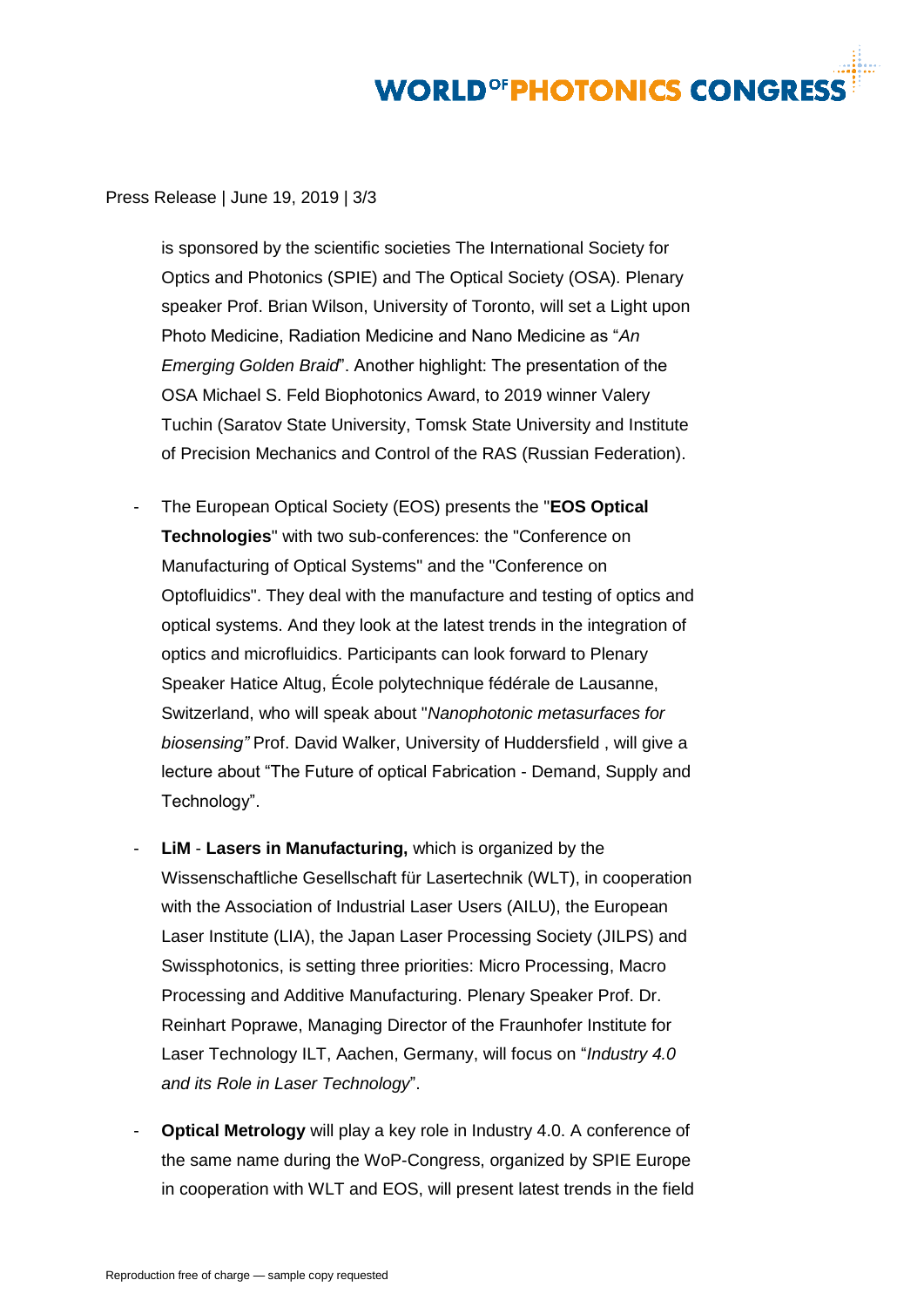## **WORLD<sup>OF</sup>PHOTONICS CONGRES**

Press Release | June 19, 2019 | 3/3

is sponsored by the scientific societies The International Society for Optics and Photonics (SPIE) and The Optical Society (OSA). Plenary speaker Prof. Brian Wilson, University of Toronto, will set a Light upon Photo Medicine, Radiation Medicine and Nano Medicine as "*An Emerging Golden Braid*". Another highlight: The presentation of the OSA Michael S. Feld Biophotonics Award, to 2019 winner Valery Tuchin (Saratov State University, Tomsk State University and Institute of Precision Mechanics and Control of the RAS (Russian Federation).

- The European Optical Society (EOS) presents the "**EOS Optical Technologies**" with two sub-conferences: the "Conference on Manufacturing of Optical Systems" and the "Conference on Optofluidics". They deal with the manufacture and testing of optics and optical systems. And they look at the latest trends in the integration of optics and microfluidics. Participants can look forward to Plenary Speaker Hatice Altug, École polytechnique fédérale de Lausanne, Switzerland, who will speak about "*Nanophotonic metasurfaces for biosensing"* Prof. David Walker, University of Huddersfield , will give a lecture about "The Future of optical Fabrication - Demand, Supply and Technology".
- **LiM Lasers in Manufacturing,** which is organized by the Wissenschaftliche Gesellschaft für Lasertechnik (WLT), in cooperation with the Association of Industrial Laser Users (AILU), the European Laser Institute (LIA), the Japan Laser Processing Society (JILPS) and Swissphotonics, is setting three priorities: Micro Processing, Macro Processing and Additive Manufacturing. Plenary Speaker Prof. Dr. Reinhart Poprawe, Managing Director of the Fraunhofer Institute for Laser Technology ILT, Aachen, Germany, will focus on "*Industry 4.0 and its Role in Laser Technology*".
- **Optical Metrology** will play a key role in Industry 4.0. A conference of the same name during the WoP-Congress, organized by SPIE Europe in cooperation with WLT and EOS, will present latest trends in the field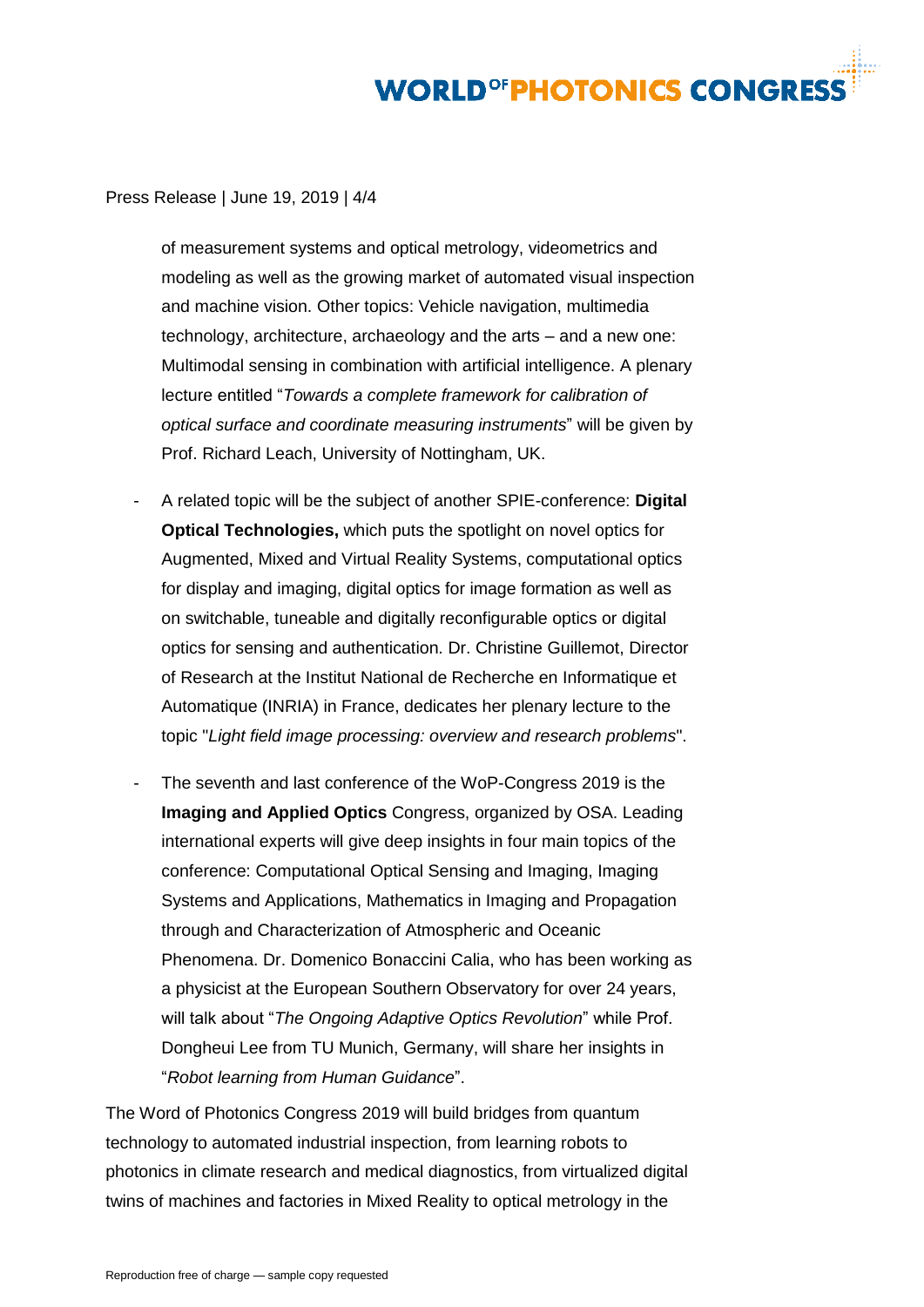# **WORLD<sup>OF</sup>PHOTONICS CONGRES**

Press Release | June 19, 2019 | 4/4

of measurement systems and optical metrology, videometrics and modeling as well as the growing market of automated visual inspection and machine vision. Other topics: Vehicle navigation, multimedia technology, architecture, archaeology and the arts – and a new one: Multimodal sensing in combination with artificial intelligence. A plenary lecture entitled "*Towards a complete framework for calibration of optical surface and coordinate measuring instruments*" will be given by Prof. Richard Leach, University of Nottingham, UK.

- A related topic will be the subject of another SPIE-conference: **Digital Optical Technologies,** which puts the spotlight on novel optics for Augmented, Mixed and Virtual Reality Systems, computational optics for display and imaging, digital optics for image formation as well as on switchable, tuneable and digitally reconfigurable optics or digital optics for sensing and authentication. Dr. Christine Guillemot, Director of Research at the Institut National de Recherche en Informatique et Automatique (INRIA) in France, dedicates her plenary lecture to the topic "*Light field image processing: overview and research problems*".
- The seventh and last conference of the WoP-Congress 2019 is the **Imaging and Applied Optics** Congress, organized by OSA. Leading international experts will give deep insights in four main topics of the conference: Computational Optical Sensing and Imaging, Imaging Systems and Applications, Mathematics in Imaging and Propagation through and Characterization of Atmospheric and Oceanic Phenomena. Dr. Domenico Bonaccini Calia, who has been working as a physicist at the European Southern Observatory for over 24 years, will talk about "*The Ongoing Adaptive Optics Revolution*" while Prof. Dongheui Lee from TU Munich, Germany, will share her insights in "*Robot learning from Human Guidance*".

The Word of Photonics Congress 2019 will build bridges from quantum technology to automated industrial inspection, from learning robots to photonics in climate research and medical diagnostics, from virtualized digital twins of machines and factories in Mixed Reality to optical metrology in the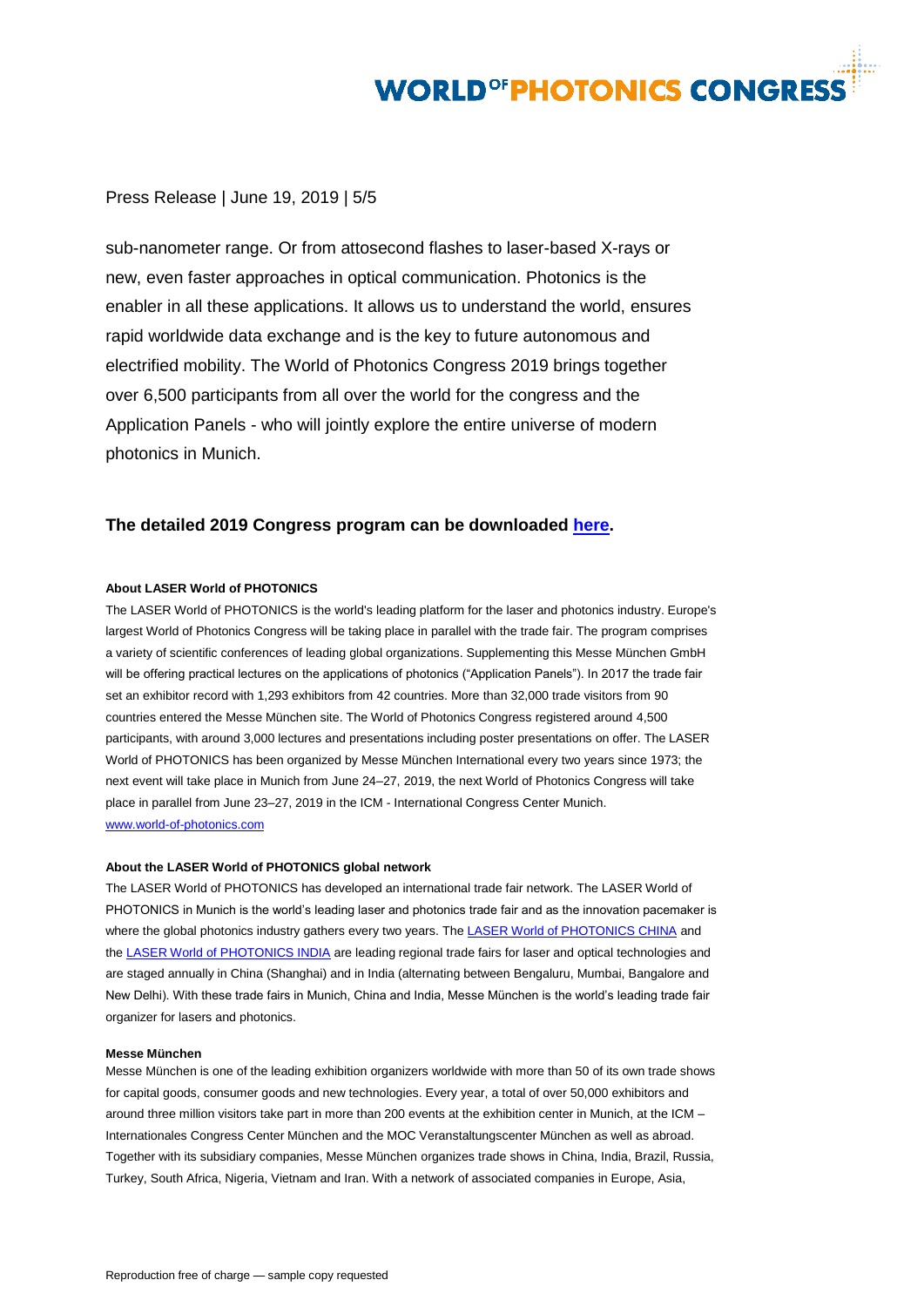## **WORLD<sup>OF</sup>PHOTONICS CONGRESS**

### Press Release | June 19, 2019 | 5/5

sub-nanometer range. Or from attosecond flashes to laser-based X-rays or new, even faster approaches in optical communication. Photonics is the enabler in all these applications. It allows us to understand the world, ensures rapid worldwide data exchange and is the key to future autonomous and electrified mobility. The World of Photonics Congress 2019 brings together over 6,500 participants from all over the world for the congress and the Application Panels - who will jointly explore the entire universe of modern photonics in Munich.

### **The detailed 2019 Congress program can be downloaded [here.](https://www.photonics-congress.com/about/congress-program/index.html)**

#### **About LASER World of PHOTONICS**

The LASER World of PHOTONICS is the world's leading platform for the laser and photonics industry. Europe's largest World of Photonics Congress will be taking place in parallel with the trade fair. The program comprises a variety of scientific conferences of leading global organizations. Supplementing this Messe München GmbH will be offering practical lectures on the applications of photonics ("Application Panels"). In 2017 the trade fair set an exhibitor record with 1,293 exhibitors from 42 countries. More than 32,000 trade visitors from 90 countries entered the Messe München site. The World of Photonics Congress registered around 4,500 participants, with around 3,000 lectures and presentations including poster presentations on offer. The LASER World of PHOTONICS has been organized by Messe München International every two years since 1973; the next event will take place in Munich from June 24–27, 2019, the next World of Photonics Congress will take place in parallel from June 23–27, 2019 in the ICM - International Congress Center Munich. [www.world-of-photonics.com](http://www.world-of-photonics.com/)

#### **About the LASER World of PHOTONICS global network**

The LASER World of PHOTONICS has developed an international trade fair network. The LASER World of PHOTONICS in Munich is the world's leading laser and photonics trade fair and as the innovation pacemaker is where the global photonics industry gathers every two years. Th[e LASER World of PHOTONICS CHINA](http://www.world-of-photonics-china.com/) and th[e LASER World of PHOTONICS INDIA](http://www.world-of-photonics-india.com/) are leading regional trade fairs for laser and optical technologies and are staged annually in China (Shanghai) and in India (alternating between Bengaluru, Mumbai, Bangalore and New Delhi). With these trade fairs in Munich, China and India, Messe München is the world's leading trade fair organizer for lasers and photonics.

#### **Messe München**

Messe München is one of the leading exhibition organizers worldwide with more than 50 of its own trade shows for capital goods, consumer goods and new technologies. Every year, a total of over 50,000 exhibitors and around three million visitors take part in more than 200 events at the exhibition center in Munich, at the ICM – Internationales Congress Center München and the MOC Veranstaltungscenter München as well as abroad. Together with its subsidiary companies, Messe München organizes trade shows in China, India, Brazil, Russia, Turkey, South Africa, Nigeria, Vietnam and Iran. With a network of associated companies in Europe, Asia,